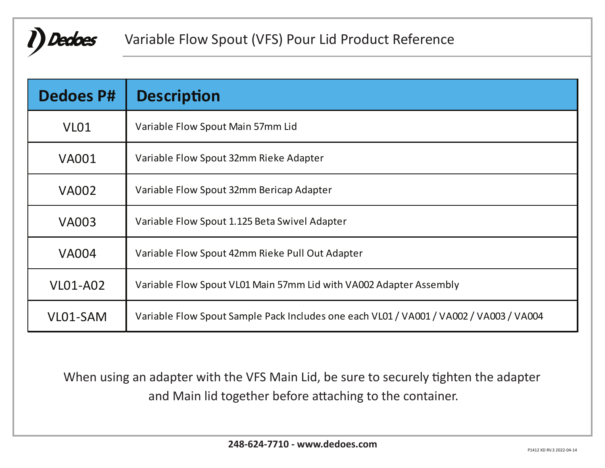

## Variable Flow Spout (VFS) Pour Lid Product Reference

| <b>Dedoes P#</b> | <b>Description</b>                                                                     |  |  |  |
|------------------|----------------------------------------------------------------------------------------|--|--|--|
| VL <sub>01</sub> | Variable Flow Spout Main 57mm Lid                                                      |  |  |  |
| <b>VA001</b>     | Variable Flow Spout 32mm Rieke Adapter                                                 |  |  |  |
| <b>VA002</b>     | Variable Flow Spout 32mm Bericap Adapter                                               |  |  |  |
| <b>VA003</b>     | Variable Flow Spout 1.125 Beta Swivel Adapter                                          |  |  |  |
| <b>VA004</b>     | Variable Flow Spout 42mm Rieke Pull Out Adapter                                        |  |  |  |
| <b>VL01-A02</b>  | Variable Flow Spout VL01 Main 57mm Lid with VA002 Adapter Assembly                     |  |  |  |
| VL01-SAM         | Variable Flow Spout Sample Pack Includes one each VL01 / VA001 / VA002 / VA003 / VA004 |  |  |  |

When using an adapter with the VFS Main Lid, be sure to securely tighten the adapter and Main lid together before attaching to the container.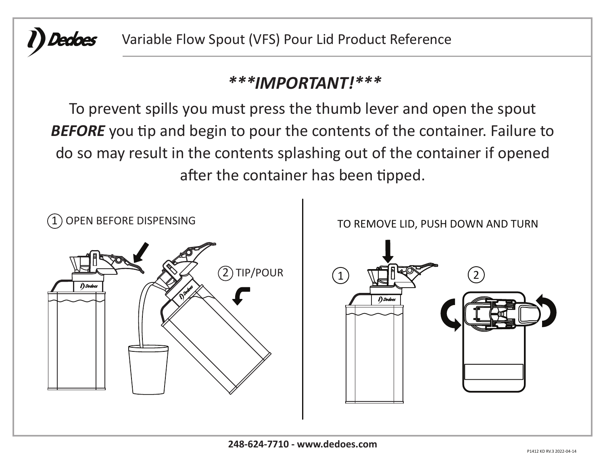

Variable Flow Spout (VFS) Pour Lid Product Reference

# *\*\*\*IMPORTANT!\*\*\**

To prevent spills you must press the thumb lever and open the spout **BEFORE** you tip and begin to pour the contents of the container. Failure to do so may result in the contents splashing out of the container if opened after the container has been tipped.

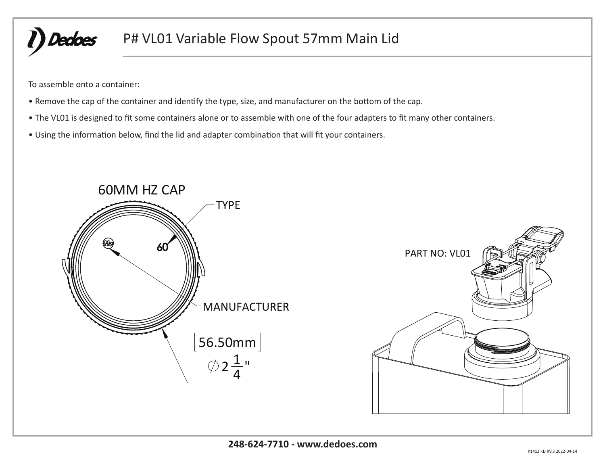

## P# VL01 Variable Flow Spout 57mm Main Lid

To assemble onto a container:

- Remove the cap of the container and identify the type, size, and manufacturer on the bottom of the cap.
- The VL01 is designed to fit some containers alone or to assemble with one of the four adapters to fit many other containers.
- Using the information below, find the lid and adapter combination that will fit your containers.



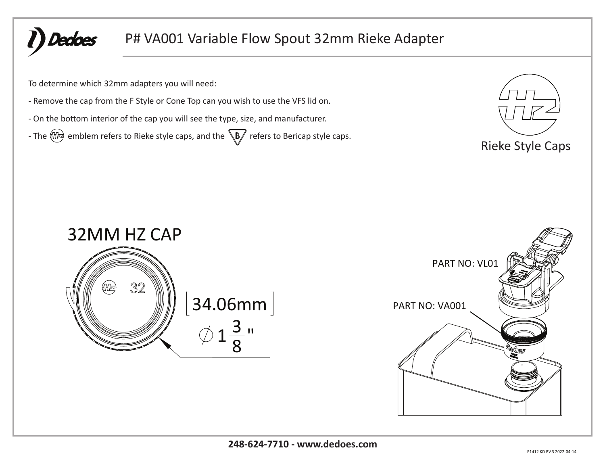Dedoes

## P# VA001 Variable Flow Spout 32mm Rieke Adapter

To determine which 32mm adapters you will need:

- Remove the cap from the F Style or Cone Top can you wish to use the VFS lid on.

- On the bottom interior of the cap you will see the type, size, and manufacturer.

- The  $\frac{m}{2}$  emblem refers to Rieke style caps, and the  $\sqrt{B}$  refers to Bericap style caps.





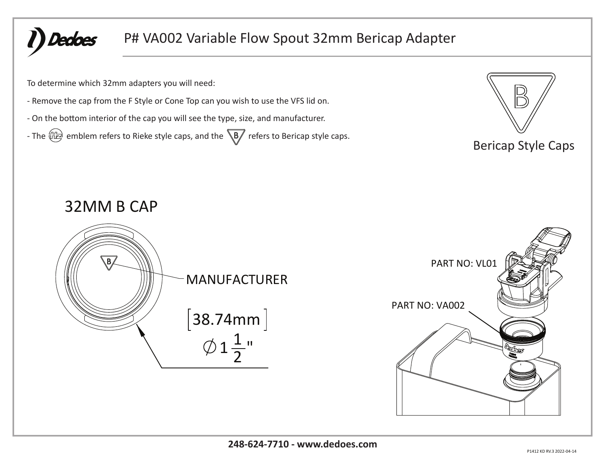**Dedoes** 

## P# VA002 Variable Flow Spout 32mm Bericap Adapter

To determine which 32mm adapters you will need:

- Remove the cap from the F Style or Cone Top can you wish to use the VFS lid on.

- On the bottom interior of the cap you will see the type, size, and manufacturer.

- The  $\left(\frac{m}{n}\right)$  emblem refers to Rieke style caps, and the  $\sqrt{B}$  refers to Bericap style caps.



## Bericap Style Caps

## 32MM B CAP



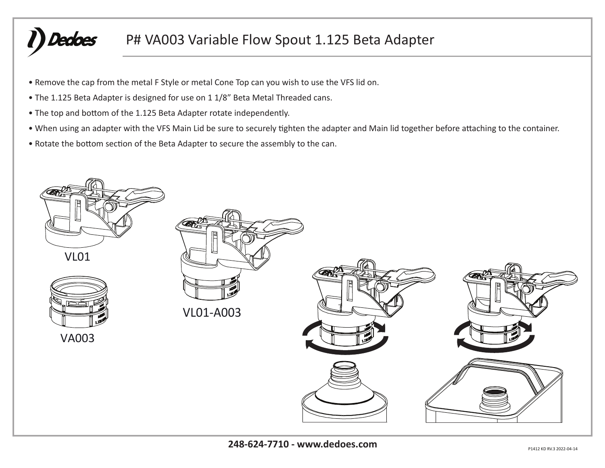# Dedoes

## P# VA003 Variable Flow Spout 1.125 Beta Adapter

- Remove the cap from the metal F Style or metal Cone Top can you wish to use the VFS lid on.
- The 1.125 Beta Adapter is designed for use on 1 1/8" Beta Metal Threaded cans.
- The top and bottom of the 1.125 Beta Adapter rotate independently.
- When using an adapter with the VFS Main Lid be sure to securely tighten the adapter and Main lid together before attaching to the container.
- Rotate the bottom section of the Beta Adapter to secure the assembly to the can.

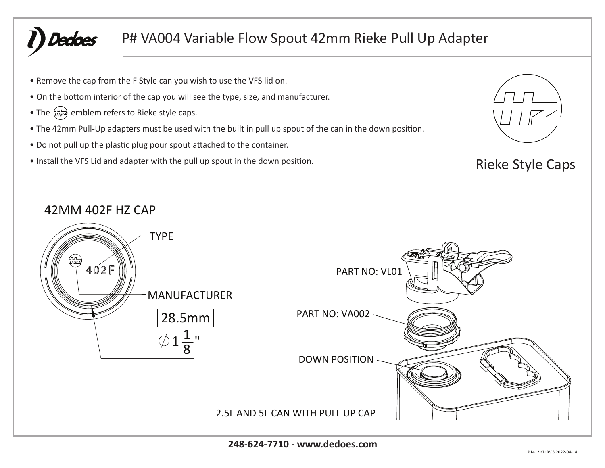# Dedoes

## P# VA004 Variable Flow Spout 42mm Rieke Pull Up Adapter

- Remove the cap from the F Style can you wish to use the VFS lid on.
- On the bottom interior of the cap you will see the type, size, and manufacturer.
- The  $\frac{f_{\text{ML}}}{f_{\text{ML}}}$  emblem refers to Rieke style caps.
- The 42mm Pull-Up adapters must be used with the built in pull up spout of the can in the down position.
- Do not pull up the plastic plug pour spout attached to the container.
- Install the VFS Lid and adapter with the pull up spout in the down position. Rieke Style Caps



### 42MM 402F HZ CAP